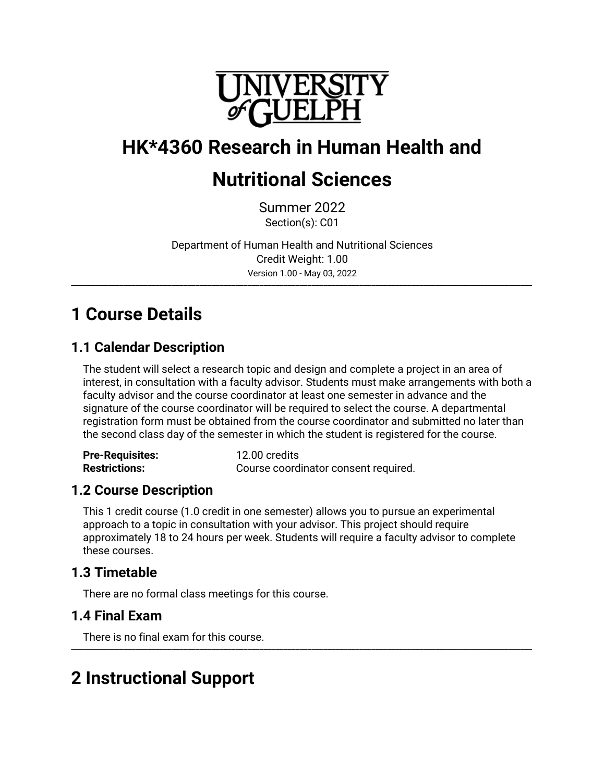

# **HK\*4360 Research in Human Health and**

# **Nutritional Sciences**

Summer 2022 Section(s): C01

Department of Human Health and Nutritional Sciences Credit Weight: 1.00 Version 1.00 - May 03, 2022

\_\_\_\_\_\_\_\_\_\_\_\_\_\_\_\_\_\_\_\_\_\_\_\_\_\_\_\_\_\_\_\_\_\_\_\_\_\_\_\_\_\_\_\_\_\_\_\_\_\_\_\_\_\_\_\_\_\_\_\_\_\_\_\_\_\_\_\_\_\_\_\_\_\_\_\_\_\_\_\_\_\_\_\_\_\_\_\_\_\_\_\_\_\_\_\_\_\_\_\_\_\_\_\_\_\_\_\_\_\_\_\_\_\_\_

# **1 Course Details**

# **1.1 Calendar Description**

The student will select a research topic and design and complete a project in an area of interest, in consultation with a faculty advisor. Students must make arrangements with both a faculty advisor and the course coordinator at least one semester in advance and the signature of the course coordinator will be required to select the course. A departmental registration form must be obtained from the course coordinator and submitted no later than the second class day of the semester in which the student is registered for the course.

| <b>Pre-Requisites:</b> | 12.00 credits                        |
|------------------------|--------------------------------------|
| <b>Restrictions:</b>   | Course coordinator consent required. |

# **1.2 Course Description**

This 1 credit course (1.0 credit in one semester) allows you to pursue an experimental approach to a topic in consultation with your advisor. This project should require approximately 18 to 24 hours per week. Students will require a faculty advisor to complete these courses.

# **1.3 Timetable**

There are no formal class meetings for this course.

# **1.4 Final Exam**

There is no final exam for this course. \_\_\_\_\_\_\_\_\_\_\_\_\_\_\_\_\_\_\_\_\_\_\_\_\_\_\_\_\_\_\_\_\_\_\_\_\_\_\_\_\_\_\_\_\_\_\_\_\_\_\_\_\_\_\_\_\_\_\_\_\_\_\_\_\_\_\_\_\_\_\_\_\_\_\_\_\_\_\_\_\_\_\_\_\_\_\_\_\_\_\_\_\_\_\_\_\_\_\_\_\_\_\_\_\_\_\_\_\_\_\_\_\_\_\_

# **2 Instructional Support**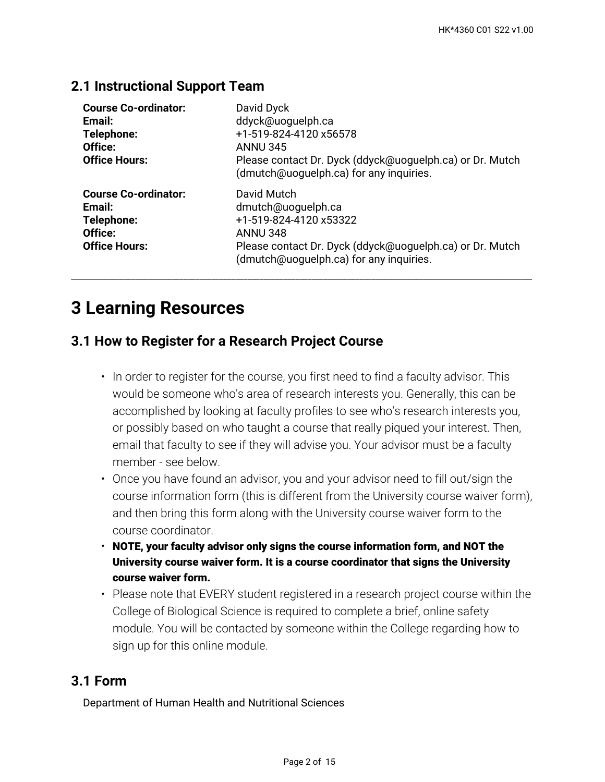## **2.1 Instructional Support Team**

| <b>Course Co-ordinator:</b><br>Email:<br>Telephone:<br>Office:<br><b>Office Hours:</b> | David Dyck<br>ddyck@uoguelph.ca<br>+1-519-824-4120 x56578<br><b>ANNU 345</b><br>Please contact Dr. Dyck (ddyck@uoguelph.ca) or Dr. Mutch<br>(dmutch@uoguelph.ca) for any inquiries.   |
|----------------------------------------------------------------------------------------|---------------------------------------------------------------------------------------------------------------------------------------------------------------------------------------|
| <b>Course Co-ordinator:</b><br>Email:<br>Telephone:<br>Office:<br><b>Office Hours:</b> | David Mutch<br>dmutch@uoguelph.ca<br>+1-519-824-4120 x53322<br><b>ANNU 348</b><br>Please contact Dr. Dyck (ddyck@uoguelph.ca) or Dr. Mutch<br>(dmutch@uoguelph.ca) for any inquiries. |

\_\_\_\_\_\_\_\_\_\_\_\_\_\_\_\_\_\_\_\_\_\_\_\_\_\_\_\_\_\_\_\_\_\_\_\_\_\_\_\_\_\_\_\_\_\_\_\_\_\_\_\_\_\_\_\_\_\_\_\_\_\_\_\_\_\_\_\_\_\_\_\_\_\_\_\_\_\_\_\_\_\_\_\_\_\_\_\_\_\_\_\_\_\_\_\_\_\_\_\_\_\_\_\_\_\_\_\_\_\_\_\_\_\_\_

# **3 Learning Resources**

# **3.1 How to Register for a Research Project Course**

- $\bm{\cdot}$  In order to register for the course, you first need to find a faculty advisor. This would be someone who's area of research interests you. Generally, this can be accomplished by looking at faculty profiles to see who's research interests you, or possibly based on who taught a course that really piqued your interest. Then, email that faculty to see if they will advise you. Your advisor must be a faculty member - see below.
- Once you have found an advisor, you and your advisor need to fill out/sign the course information form (this is different from the University course waiver form), and then bring this form along with the University course waiver form to the course coordinator.
- **NOTE, your faculty advisor only signs the course information form, and NOT the University course waiver form. It is a course coordinator that signs the University course waiver form.**
- Please note that EVERY student registered in a research project course within the College of Biological Science is required to complete a brief, online safety module. You will be contacted by someone within the College regarding how to sign up for this online module.

## **3.1 Form**

Department of Human Health and Nutritional Sciences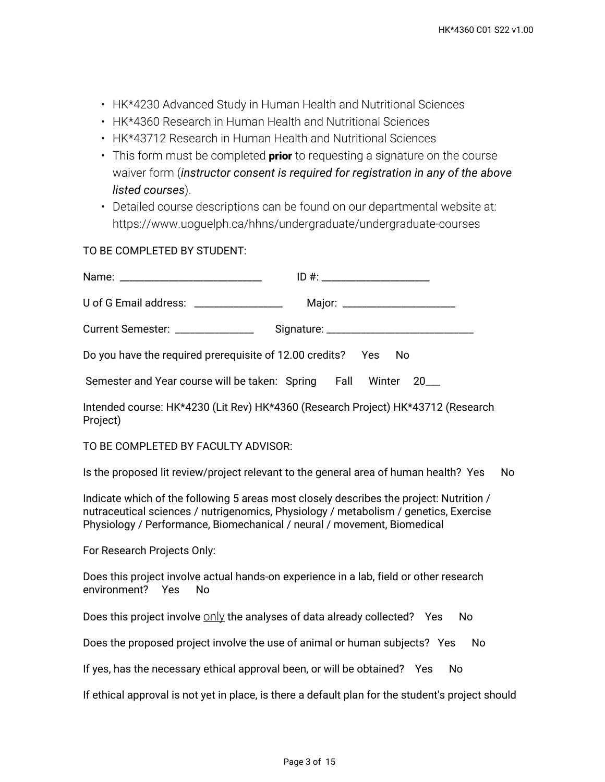- HK\*4230 Advanced Study in Human Health and Nutritional Sciences
- HK\*4360 Research in Human Health and Nutritional Sciences
- HK\*43712 Research in Human Health and Nutritional Sciences
- This form must be completed **prior** to requesting a signature on the course waiver form (*instructor consent is required for registration in any of the above listed courses*).
- Detailed course descriptions can be found on our departmental website at: https://www.uoguelph.ca/hhns/undergraduate/undergraduate-courses

TO BE COMPLETED BY STUDENT:

| U of G Email address: _________________                         | Major: ________________________ |  |  |
|-----------------------------------------------------------------|---------------------------------|--|--|
| Current Semester: ________________                              |                                 |  |  |
| Do you have the required prerequisite of 12.00 credits? Yes No  |                                 |  |  |
| Semester and Year course will be taken: Spring Fall Winter 20__ |                                 |  |  |

Intended course: HK\*4230 (Lit Rev) HK\*4360 (Research Project) HK\*43712 (Research Project)

TO BE COMPLETED BY FACULTY ADVISOR:

Is the proposed lit review/project relevant to the general area of human health? Yes No

Indicate which of the following 5 areas most closely describes the project: Nutrition / nutraceutical sciences / nutrigenomics, Physiology / metabolism / genetics, Exercise Physiology / Performance, Biomechanical / neural / movement, Biomedical

For Research Projects Only:

Does this project involve actual hands-on experience in a lab, field or other research environment? Yes No

Does this project involve  $\frac{0}{2}$  the analyses of data already collected? Yes No

Does the proposed project involve the use of animal or human subjects? Yes No

If yes, has the necessary ethical approval been, or will be obtained? Yes No

If ethical approval is not yet in place, is there a default plan for the student's project should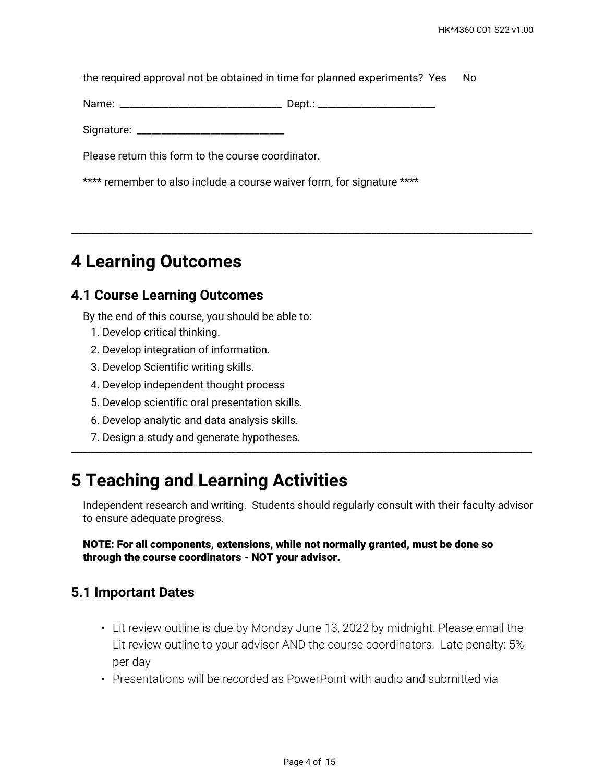the required approval not be obtained in time for planned experiments? Yes No

\_\_\_\_\_\_\_\_\_\_\_\_\_\_\_\_\_\_\_\_\_\_\_\_\_\_\_\_\_\_\_\_\_\_\_\_\_\_\_\_\_\_\_\_\_\_\_\_\_\_\_\_\_\_\_\_\_\_\_\_\_\_\_\_\_\_\_\_\_\_\_\_\_\_\_\_\_\_\_\_\_\_\_\_\_\_\_\_\_\_\_\_\_\_\_\_\_\_\_\_\_\_\_\_\_\_\_\_\_\_\_\_\_\_\_

Name: \_\_\_\_\_\_\_\_\_\_\_\_\_\_\_\_\_\_\_\_\_\_\_\_\_\_\_\_\_\_\_\_\_ Dept.: \_\_\_\_\_\_\_\_\_\_\_\_\_\_\_\_\_\_\_\_\_\_\_\_

Signature: \_\_\_\_\_\_\_\_\_\_\_\_\_\_\_\_\_\_\_\_\_\_\_\_\_\_\_\_\_\_

Please return this form to the course coordinator.

\*\*\*\* remember to also include a course waiver form, for signature \*\*\*\*

# **4 Learning Outcomes**

## **4.1 Course Learning Outcomes**

By the end of this course, you should be able to:

- 1. Develop critical thinking.
- 2. Develop integration of information.
- 3. Develop Scientific writing skills.
- 4. Develop independent thought process
- 5. Develop scientific oral presentation skills.
- 6. Develop analytic and data analysis skills.
- 7. Design a study and generate hypotheses.

# **5 Teaching and Learning Activities**

Independent research and writing. Students should regularly consult with their faculty advisor to ensure adequate progress.

\_\_\_\_\_\_\_\_\_\_\_\_\_\_\_\_\_\_\_\_\_\_\_\_\_\_\_\_\_\_\_\_\_\_\_\_\_\_\_\_\_\_\_\_\_\_\_\_\_\_\_\_\_\_\_\_\_\_\_\_\_\_\_\_\_\_\_\_\_\_\_\_\_\_\_\_\_\_\_\_\_\_\_\_\_\_\_\_\_\_\_\_\_\_\_\_\_\_\_\_\_\_\_\_\_\_\_\_\_\_\_\_\_\_\_

#### **NOTE: For all components, extensions, while not normally granted, must be done so through the course coordinators - NOT your advisor.**

### **5.1 Important Dates**

- Lit review outline is due by Monday June 13, 2022 by midnight. Please email the Lit review outline to your advisor AND the course coordinators. Late penalty: 5% per day
- Presentations will be recorded as PowerPoint with audio and submitted via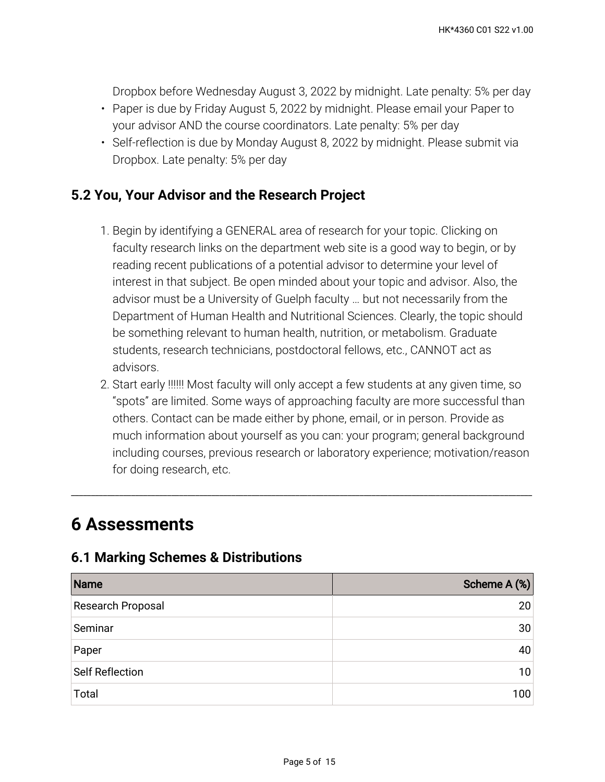Dropbox before Wednesday August 3, 2022 by midnight. Late penalty: 5% per day

- Paper is due by Friday August 5, 2022 by midnight. Please email your Paper to your advisor AND the course coordinators. Late penalty: 5% per day
- Self-reflection is due by Monday August 8, 2022 by midnight. Please submit via Dropbox. Late penalty: 5% per day

# **5.2 You, Your Advisor and the Research Project**

- 1. Begin by identifying a GENERAL area of research for your topic. Clicking on faculty research links on the department web site is a good way to begin, or by reading recent publications of a potential advisor to determine your level of interest in that subject. Be open minded about your topic and advisor. Also, the advisor must be a University of Guelph faculty … but not necessarily from the Department of Human Health and Nutritional Sciences. Clearly, the topic should be something relevant to human health, nutrition, or metabolism. Graduate students, research technicians, postdoctoral fellows, etc., CANNOT act as advisors.
- Start early !!!!!! Most faculty will only accept a few students at any given time, so 2. "spots" are limited. Some ways of approaching faculty are more successful than others. Contact can be made either by phone, email, or in person. Provide as much information about yourself as you can: your program; general background including courses, previous research or laboratory experience; motivation/reason for doing research, etc.

\_\_\_\_\_\_\_\_\_\_\_\_\_\_\_\_\_\_\_\_\_\_\_\_\_\_\_\_\_\_\_\_\_\_\_\_\_\_\_\_\_\_\_\_\_\_\_\_\_\_\_\_\_\_\_\_\_\_\_\_\_\_\_\_\_\_\_\_\_\_\_\_\_\_\_\_\_\_\_\_\_\_\_\_\_\_\_\_\_\_\_\_\_\_\_\_\_\_\_\_\_\_\_\_\_\_\_\_\_\_\_\_\_\_\_

# **6 Assessments**

# **6.1 Marking Schemes & Distributions**

| Name              | Scheme A (%)    |
|-------------------|-----------------|
| Research Proposal | 20              |
| Seminar           | 30              |
| Paper             | 40              |
| Self Reflection   | 10 <sup>1</sup> |
| Total             | 100             |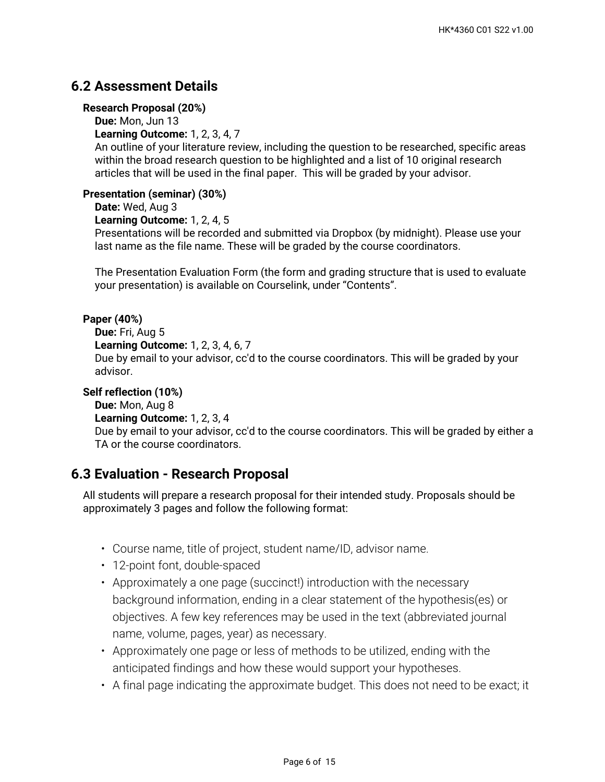# **6.2 Assessment Details**

#### **Research Proposal (20%)**

**Due:** Mon, Jun 13

**Learning Outcome:** 1, 2, 3, 4, 7

An outline of your literature review, including the question to be researched, specific areas within the broad research question to be highlighted and a list of 10 original research articles that will be used in the final paper. This will be graded by your advisor.

### **Presentation (seminar) (30%)**

**Date:** Wed, Aug 3

```
Learning Outcome: 1, 2, 4, 5
```
Presentations will be recorded and submitted via Dropbox (by midnight). Please use your last name as the file name. These will be graded by the course coordinators.

The Presentation Evaluation Form (the form and grading structure that is used to evaluate your presentation) is available on Courselink, under "Contents".

### **Paper (40%)**

```
Due: Fri, Aug 5
```
**Learning Outcome:** 1, 2, 3, 4, 6, 7

Due by email to your advisor, cc'd to the course coordinators. This will be graded by your advisor.

#### **Self reflection (10%)**

**Due:** Mon, Aug 8 **Learning Outcome:** 1, 2, 3, 4 Due by email to your advisor, cc'd to the course coordinators. This will be graded by either a TA or the course coordinators.

# **6.3 Evaluation - Research Proposal**

All students will prepare a research proposal for their intended study. Proposals should be approximately 3 pages and follow the following format:

- Course name, title of project, student name/ID, advisor name.
- 12-point font, double-spaced
- Approximately a one page (succinct!) introduction with the necessary background information, ending in a clear statement of the hypothesis(es) or objectives. A few key references may be used in the text (abbreviated journal name, volume, pages, year) as necessary.
- Approximately one page or less of methods to be utilized, ending with the anticipated findings and how these would support your hypotheses.
- A final page indicating the approximate budget. This does not need to be exact; it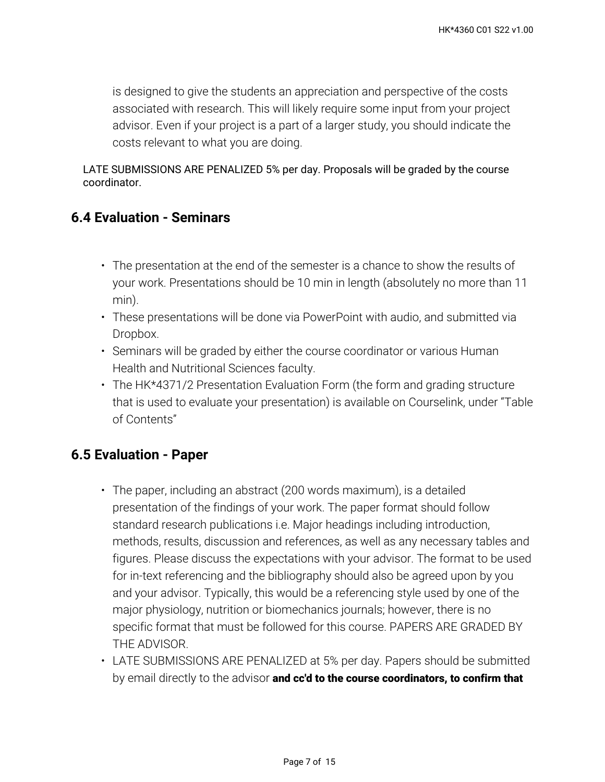is designed to give the students an appreciation and perspective of the costs associated with research. This will likely require some input from your project advisor. Even if your project is a part of a larger study, you should indicate the costs relevant to what you are doing.

LATE SUBMISSIONS ARE PENALIZED 5% per day. Proposals will be graded by the course coordinator.

# **6.4 Evaluation - Seminars**

- $\cdot$  The presentation at the end of the semester is a chance to show the results of your work. Presentations should be 10 min in length (absolutely no more than 11 min).
- These presentations will be done via PowerPoint with audio, and submitted via Dropbox.
- Seminars will be graded by either the course coordinator or various Human Health and Nutritional Sciences faculty.
- The HK\*4371/2 Presentation Evaluation Form (the form and grading structure that is used to evaluate your presentation) is available on Courselink, under "Table of Contents"

# **6.5 Evaluation - Paper**

- The paper, including an abstract (200 words maximum), is a detailed presentation of the findings of your work. The paper format should follow standard research publications i.e. Major headings including introduction, methods, results, discussion and references, as well as any necessary tables and figures. Please discuss the expectations with your advisor. The format to be used for in-text referencing and the bibliography should also be agreed upon by you and your advisor. Typically, this would be a referencing style used by one of the major physiology, nutrition or biomechanics journals; however, there is no specific format that must be followed for this course. PAPERS ARE GRADED BY THE ADVISOR.
- LATE SUBMISSIONS ARE PENALIZED at 5% per day. Papers should be submitted by email directly to the advisor **and cc'd to the course coordinators, to confirm that**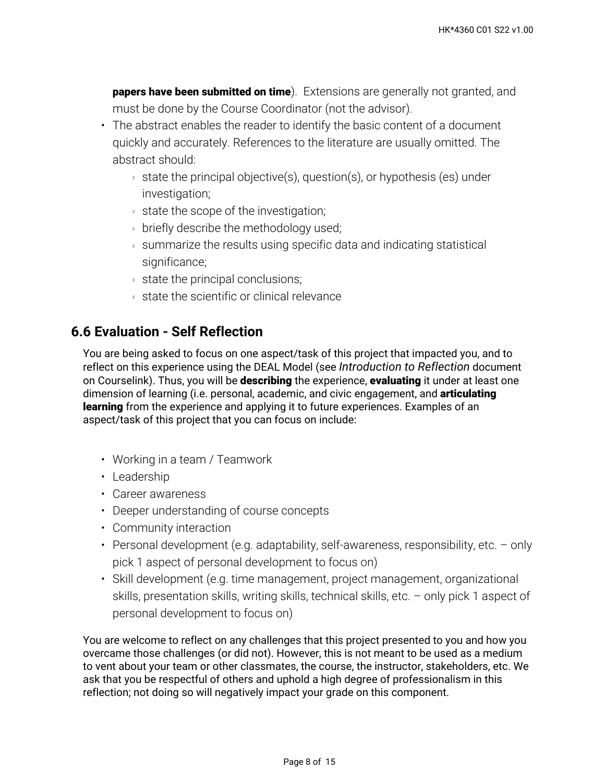**papers have been submitted on time**). Extensions are generally not granted, and must be done by the Course Coordinator (not the advisor).

- The abstract enables the reader to identify the basic content of a document quickly and accurately. References to the literature are usually omitted. The abstract should:
	- state the principal objective(s), question(s), or hypothesis (es) under investigation;
	- state the scope of the investigation;
	- **briefly describe the methodology used;**
	- summarize the results using specific data and indicating statistical significance;
	- state the principal conclusions;
	- state the scientific or clinical relevance

# **6.6 Evaluation - Self Reflection**

You are being asked to focus on one aspect/task of this project that impacted you, and to reflect on this experience using the DEAL Model (see *Introduction to Reflection* document on Courselink). Thus, you will be **describing** the experience, **evaluating** it under at least one dimension of learning (i.e. personal, academic, and civic engagement, and **articulating learning** from the experience and applying it to future experiences. Examples of an aspect/task of this project that you can focus on include:

- Working in a team / Teamwork
- Leadership
- Career awareness
- Deeper understanding of course concepts
- Community interaction
- Personal development (e.g. adaptability, self-awareness, responsibility, etc. only pick 1 aspect of personal development to focus on)
- Skill development (e.g. time management, project management, organizational skills, presentation skills, writing skills, technical skills, etc. – only pick 1 aspect of personal development to focus on)

You are welcome to reflect on any challenges that this project presented to you and how you overcame those challenges (or did not). However, this is not meant to be used as a medium to vent about your team or other classmates, the course, the instructor, stakeholders, etc. We ask that you be respectful of others and uphold a high degree of professionalism in this reflection; not doing so will negatively impact your grade on this component.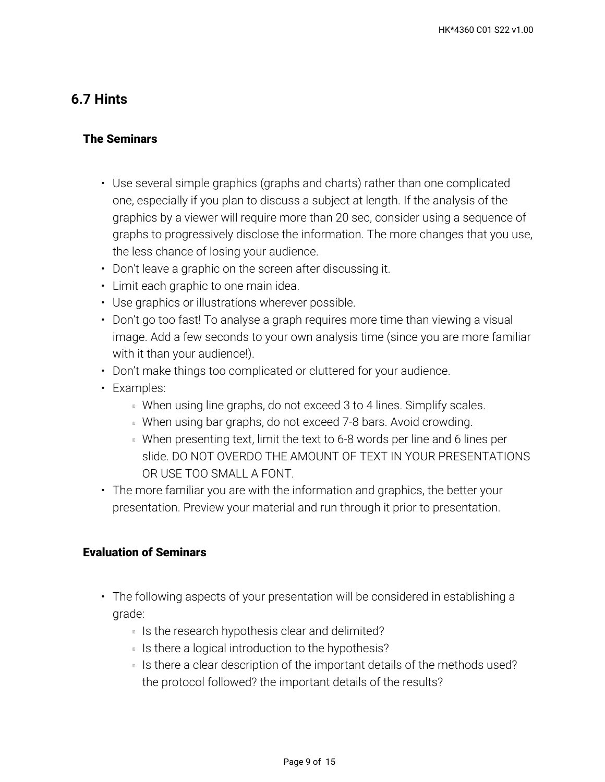# **6.7 Hints**

## **The Seminars**

- Use several simple graphics (graphs and charts) rather than one complicated one, especially if you plan to discuss a subject at length. If the analysis of the graphics by a viewer will require more than 20 sec, consider using a sequence of graphs to progressively disclose the information. The more changes that you use, the less chance of losing your audience.
- Don't leave a graphic on the screen after discussing it.
- Limit each graphic to one main idea.
- Use graphics or illustrations wherever possible.
- Don't go too fast! To analyse a graph requires more time than viewing a visual image. Add a few seconds to your own analysis time (since you are more familiar with it than your audience!).
- Don't make things too complicated or cluttered for your audience.
- Examples:
	- **When using line graphs, do not exceed 3 to 4 lines. Simplify scales.**
	- When using bar graphs, do not exceed 7-8 bars. Avoid crowding.
	- When presenting text, limit the text to 6-8 words per line and 6 lines per slide. DO NOT OVERDO THE AMOUNT OF TEXT IN YOUR PRESENTATIONS OR USE TOO SMALL A FONT.
- The more familiar you are with the information and graphics, the better your presentation. Preview your material and run through it prior to presentation.

### **Evaluation of Seminars**

- The following aspects of your presentation will be considered in establishing a grade:
	- Is the research hypothesis clear and delimited?
	- Is there a logical introduction to the hypothesis?
	- $\,$  Is there a clear description of the important details of the methods used? the protocol followed? the important details of the results?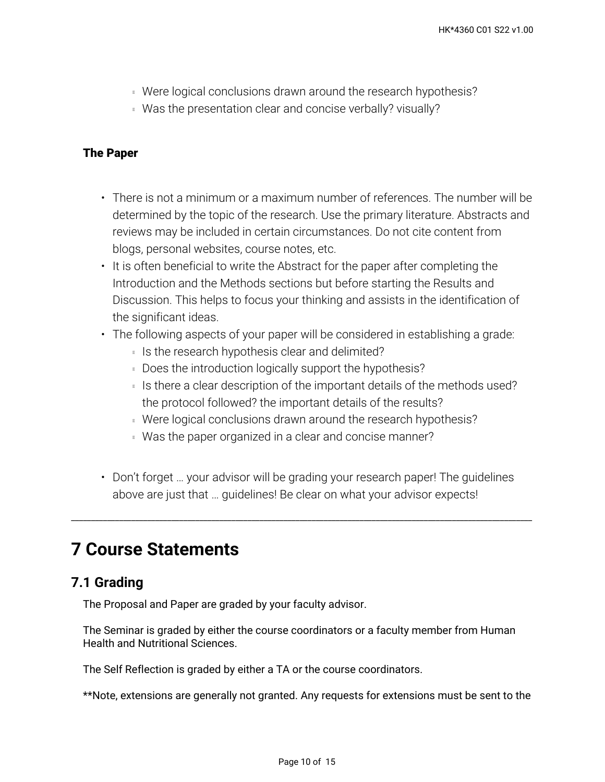- Were logical conclusions drawn around the research hypothesis?
- Was the presentation clear and concise verbally? visually?

### **The Paper**

- There is not a minimum or a maximum number of references. The number will be determined by the topic of the research. Use the primary literature. Abstracts and reviews may be included in certain circumstances. Do not cite content from blogs, personal websites, course notes, etc.
- It is often beneficial to write the Abstract for the paper after completing the Introduction and the Methods sections but before starting the Results and Discussion. This helps to focus your thinking and assists in the identification of the significant ideas.
- The following aspects of your paper will be considered in establishing a grade:
	- Is the research hypothesis clear and delimited?
	- Does the introduction logically support the hypothesis?
	- $\,$  Is there a clear description of the important details of the methods used? the protocol followed? the important details of the results?
	- Were logical conclusions drawn around the research hypothesis?
	- Was the paper organized in a clear and concise manner?
- Don't forget … your advisor will be grading your research paper! The guidelines above are just that … guidelines! Be clear on what your advisor expects!

\_\_\_\_\_\_\_\_\_\_\_\_\_\_\_\_\_\_\_\_\_\_\_\_\_\_\_\_\_\_\_\_\_\_\_\_\_\_\_\_\_\_\_\_\_\_\_\_\_\_\_\_\_\_\_\_\_\_\_\_\_\_\_\_\_\_\_\_\_\_\_\_\_\_\_\_\_\_\_\_\_\_\_\_\_\_\_\_\_\_\_\_\_\_\_\_\_\_\_\_\_\_\_\_\_\_\_\_\_\_\_\_\_\_\_

# **7 Course Statements**

# **7.1 Grading**

The Proposal and Paper are graded by your faculty advisor.

The Seminar is graded by either the course coordinators or a faculty member from Human Health and Nutritional Sciences.

The Self Reflection is graded by either a TA or the course coordinators.

\*\*Note, extensions are generally not granted. Any requests for extensions must be sent to the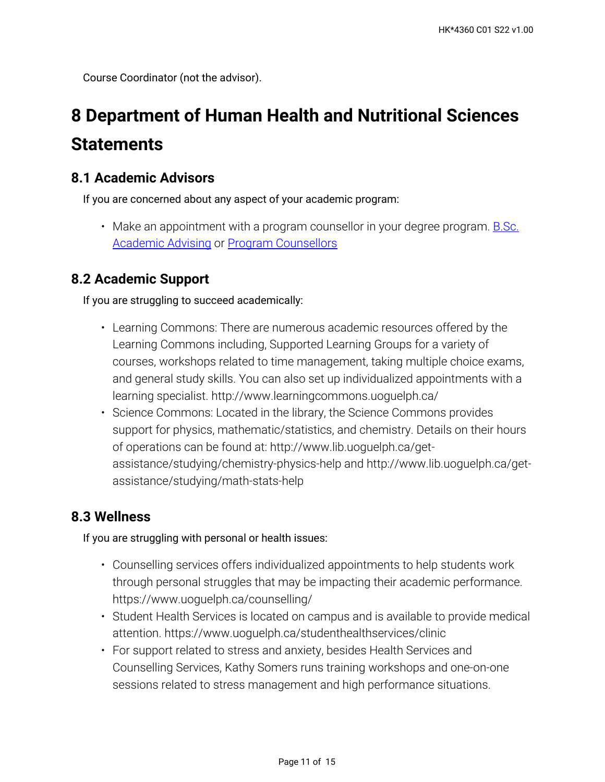Course Coordinator (not the advisor).

# **8 Department of Human Health and Nutritional Sciences Statements**

# **8.1 Academic Advisors**

If you are concerned about any aspect of your academic program:

• Make an appointment with a program counsellor in your degree program. <u>B.Sc.</u> **[Academic Advising](https://bsc.uoguelph.ca/) or [Program Counsellors](https://www.uoguelph.ca/uaic/programcounsellors)** 

# **8.2 Academic Support**

If you are struggling to succeed academically:

- Learning Commons: There are numerous academic resources offered by the Learning Commons including, Supported Learning Groups for a variety of courses, workshops related to time management, taking multiple choice exams, and general study skills. You can also set up individualized appointments with a learning specialist. http://www.learningcommons.uoguelph.ca/
- Science Commons: Located in the library, the Science Commons provides support for physics, mathematic/statistics, and chemistry. Details on their hours of operations can be found at: http://www.lib.uoguelph.ca/getassistance/studying/chemistry-physics-help and http://www.lib.uoguelph.ca/getassistance/studying/math-stats-help

# **8.3 Wellness**

If you are struggling with personal or health issues:

- Counselling services offers individualized appointments to help students work through personal struggles that may be impacting their academic performance. https://www.uoguelph.ca/counselling/
- Student Health Services is located on campus and is available to provide medical attention. https://www.uoguelph.ca/studenthealthservices/clinic
- For support related to stress and anxiety, besides Health Services and Counselling Services, Kathy Somers runs training workshops and one-on-one sessions related to stress management and high performance situations.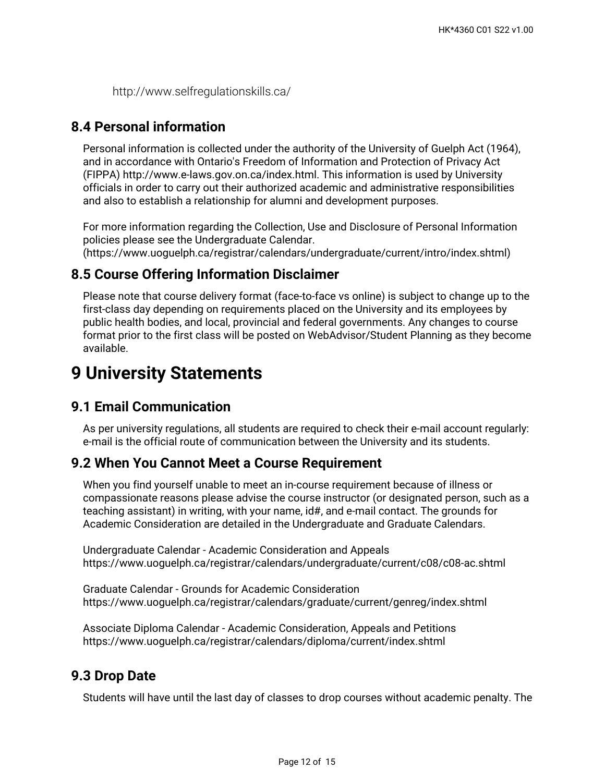http://www.selfregulationskills.ca/

## **8.4 Personal information**

Personal information is collected under the authority of the University of Guelph Act (1964), and in accordance with Ontario's Freedom of Information and Protection of Privacy Act (FIPPA) http://www.e-laws.gov.on.ca/index.html. This information is used by University officials in order to carry out their authorized academic and administrative responsibilities and also to establish a relationship for alumni and development purposes.

For more information regarding the Collection, Use and Disclosure of Personal Information policies please see the Undergraduate Calendar.

(https://www.uoguelph.ca/registrar/calendars/undergraduate/current/intro/index.shtml)

### **8.5 Course Offering Information Disclaimer**

Please note that course delivery format (face-to-face vs online) is subject to change up to the first-class day depending on requirements placed on the University and its employees by public health bodies, and local, provincial and federal governments. Any changes to course format prior to the first class will be posted on WebAdvisor/Student Planning as they become available.

# **9 University Statements**

## **9.1 Email Communication**

As per university regulations, all students are required to check their e-mail account regularly: e-mail is the official route of communication between the University and its students.

## **9.2 When You Cannot Meet a Course Requirement**

When you find yourself unable to meet an in-course requirement because of illness or compassionate reasons please advise the course instructor (or designated person, such as a teaching assistant) in writing, with your name, id#, and e-mail contact. The grounds for Academic Consideration are detailed in the Undergraduate and Graduate Calendars.

Undergraduate Calendar - Academic Consideration and Appeals https://www.uoguelph.ca/registrar/calendars/undergraduate/current/c08/c08-ac.shtml

Graduate Calendar - Grounds for Academic Consideration https://www.uoguelph.ca/registrar/calendars/graduate/current/genreg/index.shtml

Associate Diploma Calendar - Academic Consideration, Appeals and Petitions https://www.uoguelph.ca/registrar/calendars/diploma/current/index.shtml

## **9.3 Drop Date**

Students will have until the last day of classes to drop courses without academic penalty. The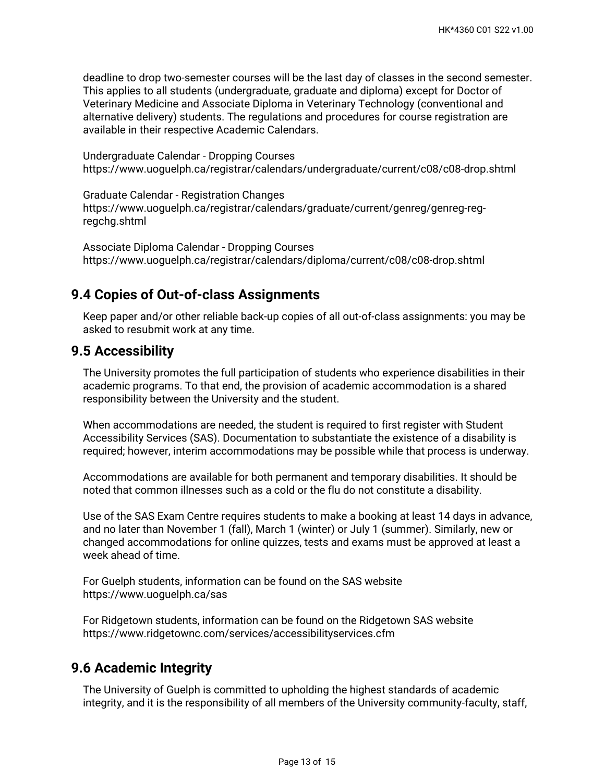deadline to drop two-semester courses will be the last day of classes in the second semester. This applies to all students (undergraduate, graduate and diploma) except for Doctor of Veterinary Medicine and Associate Diploma in Veterinary Technology (conventional and alternative delivery) students. The regulations and procedures for course registration are available in their respective Academic Calendars.

Undergraduate Calendar - Dropping Courses https://www.uoguelph.ca/registrar/calendars/undergraduate/current/c08/c08-drop.shtml

Graduate Calendar - Registration Changes https://www.uoguelph.ca/registrar/calendars/graduate/current/genreg/genreg-regregchg.shtml

Associate Diploma Calendar - Dropping Courses https://www.uoguelph.ca/registrar/calendars/diploma/current/c08/c08-drop.shtml

## **9.4 Copies of Out-of-class Assignments**

Keep paper and/or other reliable back-up copies of all out-of-class assignments: you may be asked to resubmit work at any time.

### **9.5 Accessibility**

The University promotes the full participation of students who experience disabilities in their academic programs. To that end, the provision of academic accommodation is a shared responsibility between the University and the student.

When accommodations are needed, the student is required to first register with Student Accessibility Services (SAS). Documentation to substantiate the existence of a disability is required; however, interim accommodations may be possible while that process is underway.

Accommodations are available for both permanent and temporary disabilities. It should be noted that common illnesses such as a cold or the flu do not constitute a disability.

Use of the SAS Exam Centre requires students to make a booking at least 14 days in advance, and no later than November 1 (fall), March 1 (winter) or July 1 (summer). Similarly, new or changed accommodations for online quizzes, tests and exams must be approved at least a week ahead of time.

For Guelph students, information can be found on the SAS website https://www.uoguelph.ca/sas

For Ridgetown students, information can be found on the Ridgetown SAS website https://www.ridgetownc.com/services/accessibilityservices.cfm

# **9.6 Academic Integrity**

The University of Guelph is committed to upholding the highest standards of academic integrity, and it is the responsibility of all members of the University community-faculty, staff,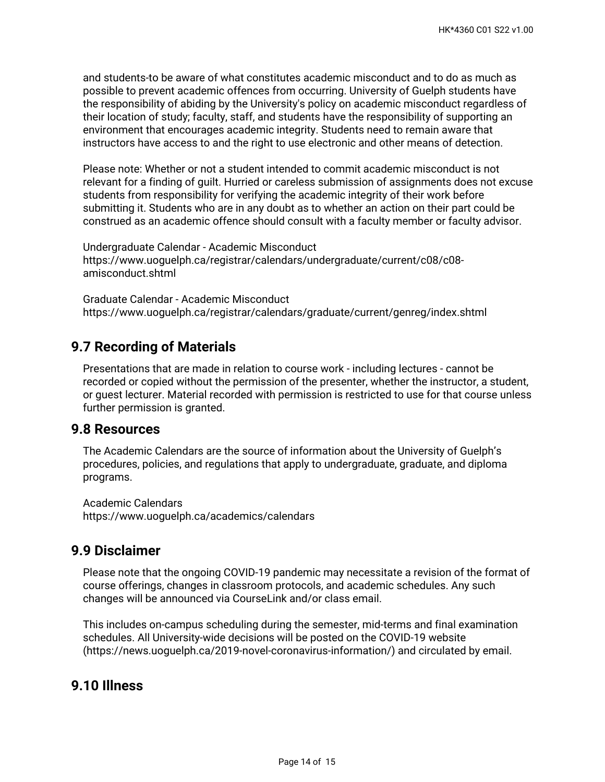and students-to be aware of what constitutes academic misconduct and to do as much as possible to prevent academic offences from occurring. University of Guelph students have the responsibility of abiding by the University's policy on academic misconduct regardless of their location of study; faculty, staff, and students have the responsibility of supporting an environment that encourages academic integrity. Students need to remain aware that instructors have access to and the right to use electronic and other means of detection.

Please note: Whether or not a student intended to commit academic misconduct is not relevant for a finding of guilt. Hurried or careless submission of assignments does not excuse students from responsibility for verifying the academic integrity of their work before submitting it. Students who are in any doubt as to whether an action on their part could be construed as an academic offence should consult with a faculty member or faculty advisor.

Undergraduate Calendar - Academic Misconduct https://www.uoguelph.ca/registrar/calendars/undergraduate/current/c08/c08 amisconduct.shtml

Graduate Calendar - Academic Misconduct https://www.uoguelph.ca/registrar/calendars/graduate/current/genreg/index.shtml

# **9.7 Recording of Materials**

Presentations that are made in relation to course work - including lectures - cannot be recorded or copied without the permission of the presenter, whether the instructor, a student, or guest lecturer. Material recorded with permission is restricted to use for that course unless further permission is granted.

### **9.8 Resources**

The Academic Calendars are the source of information about the University of Guelph's procedures, policies, and regulations that apply to undergraduate, graduate, and diploma programs.

Academic Calendars https://www.uoguelph.ca/academics/calendars

## **9.9 Disclaimer**

Please note that the ongoing COVID-19 pandemic may necessitate a revision of the format of course offerings, changes in classroom protocols, and academic schedules. Any such changes will be announced via CourseLink and/or class email.

This includes on-campus scheduling during the semester, mid-terms and final examination schedules. All University-wide decisions will be posted on the COVID-19 website (https://news.uoguelph.ca/2019-novel-coronavirus-information/) and circulated by email.

## **9.10 Illness**